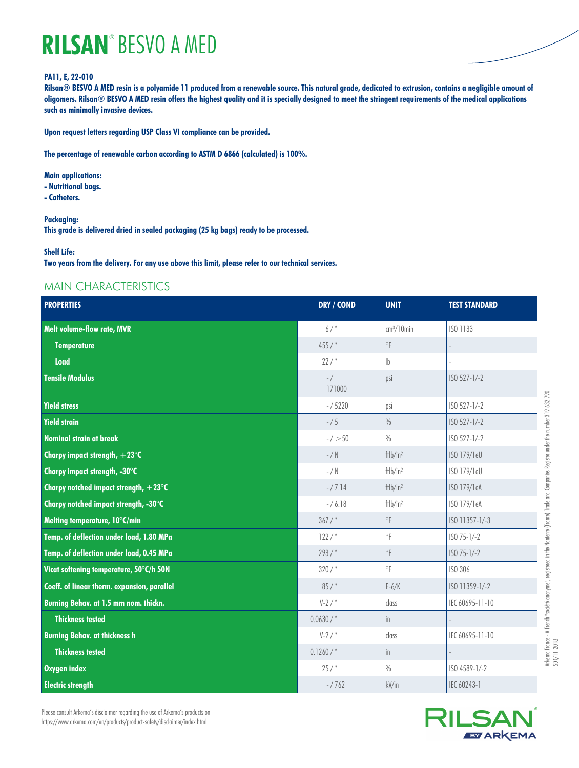#### **PA11, E, 22-010**

**Rilsan® BESVO A MED resin is a polyamide 11 produced from a renewable source. This natural grade, dedicated to extrusion, contains a negligible amount of oligomers. Rilsan® BESVO A MED resin offers the highest quality and it is specially designed to meet the stringent requirements of the medical applications such as minimally invasive devices.**

**Upon request letters regarding USP Class VI compliance can be provided.**

**The percentage of renewable carbon according to ASTM D 6866 (calculated) is 100%.**

- **Main applications:**
- **Nutritional bags.**
- **Catheters.**

**Packaging:**

**This grade is delivered dried in sealed packaging (25 kg bags) ready to be processed.**

#### **Shelf Life:**

**Two years from the delivery. For any use above this limit, please refer to our technical services.**

#### MAIN CHARACTERISTICS

| <b>PROPERTIES</b>                               | DRY / COND        | <b>UNIT</b>               | <b>TEST STANDARD</b> |
|-------------------------------------------------|-------------------|---------------------------|----------------------|
| <b>Melt volume-flow rate, MVR</b>               | $6/$ *            | $cm3/10$ min              | ISO 1133             |
| <b>Temperature</b>                              | 455/              | $^\circ\! \mathsf{F}$     |                      |
| Load                                            | 22/               | $\mathbb{I}_{\mathsf{b}}$ |                      |
| <b>Tensile Modulus</b>                          | $-$ /<br>171000   | psi                       | ISO 527-1/-2         |
| <b>Yield stress</b>                             | $- / 5220$        | psi                       | ISO 527-1/-2         |
| <b>Yield strain</b>                             | $- / 5$           | $\frac{0}{0}$             | ISO 527-1/-2         |
| <b>Nominal strain at break</b>                  | $-/-50$           | $\%$                      | $ISO 527-1/-2$       |
| Charpy impact strength, $+23^{\circ}$ C         | $-$ / $\mathbb N$ | $f$ tlb/in <sup>2</sup>   | ISO 179/1eU          |
| Charpy impact strength, -30°C                   | $-$ / N           | ftlb/in <sup>2</sup>      | ISO 179/1eU          |
| Charpy notched impact strength, $+23^{\circ}$ C | $-/7.14$          | ftlb/in <sup>2</sup>      | ISO 179/1eA          |
| Charpy notched impact strength, -30°C           | $- / 6.18$        | ftlb/in <sup>2</sup>      | ISO 179/1eA          |
| Melting temperature, 10°C/min                   | $367/$ *          | $^\circ\! \mathsf{F}$     | ISO 11357-1/-3       |
| Temp. of deflection under load, 1.80 MPa        | 122/              | $\circ$ F                 | $ISO 75-1/-2$        |
| Temp. of deflection under load, 0.45 MPa        | $293/$ *          | $^\circ\! \mathsf{F}$     | $ISO 75-1/-2$        |
| Vicat softening temperature, 50°C/h 50N         | $320/$ *          | $\circ$                   | ISO 306              |
| Coeff. of linear therm. expansion, parallel     | 85/               | $E-6/K$                   | ISO 11359-1/-2       |
| Burning Behav. at 1.5 mm nom. thickn.           | $V-2/$            | class                     | IEC 60695-11-10      |
| <b>Thickness tested</b>                         | $0.0630/$ *       | in                        |                      |
| <b>Burning Behav. at thickness h</b>            | $V-2/$            | class                     | IEC 60695-11-10      |
| <b>Thickness tested</b>                         | 0.1260/           | in                        |                      |
| <b>Oxygen index</b>                             | 25/               | $\%$                      | ISO 4589-1/-2        |
| <b>Electric strength</b>                        | $-/762$           | kV/in                     | IEC 60243-1          |

Please consult Arkema's disclaimer regarding the use of Arkema's products on https://www.arkema.com/en/products/product-safety/disclaimer/index.html

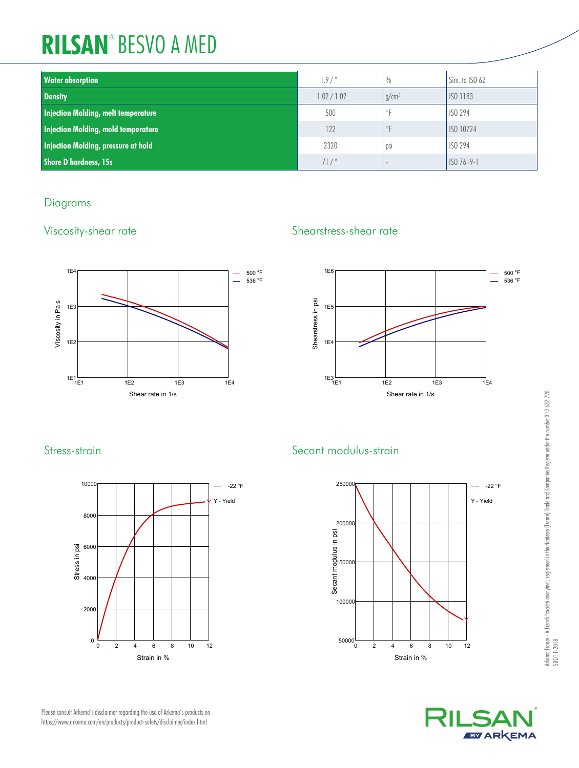| <b>Water absorption</b>                    | $1.9/$ *    | $\frac{0}{0}$ | Sim. to ISO 62 |
|--------------------------------------------|-------------|---------------|----------------|
| <b>Density</b>                             | 1.02 / 1.02 | $q/cm^3$      | ISO 1183       |
| Injection Molding, melt temperature        | 500         | °F            | <b>ISO 294</b> |
| <b>Injection Molding, mold temperature</b> | 122         | $\circ$ F     | ISO 10724      |
| Injection Molding, pressure at hold        | 2320        | psi           | <b>ISO 294</b> |
| <b>Shore D hardness, 15s</b>               | 71/         |               | ISO 7619-1     |

## Diagrams



## Viscosity-shear rate Shearstress-shear rate





# Stress-strain Secant modulus-strain





Please consult Arkema's disclaimer regarding the use of Arkema's products on https://www.arkema.com/en/products/product-safety/disclaimer/index.html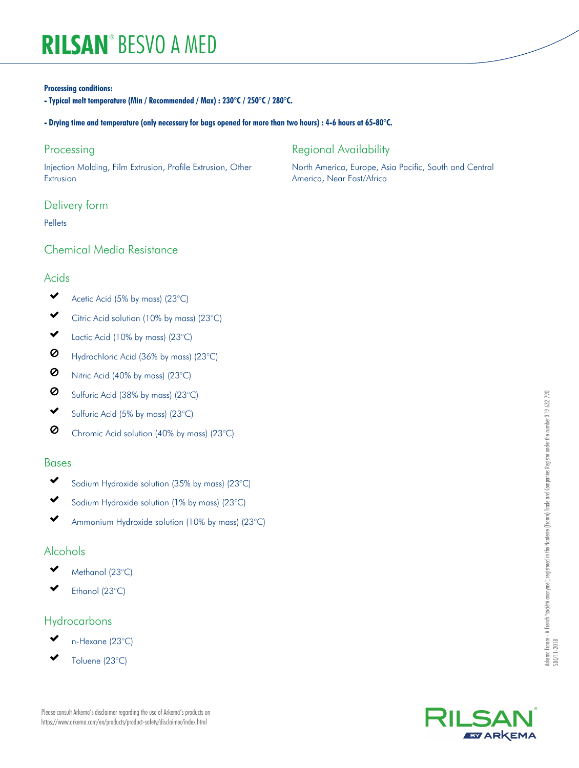#### **Processing conditions:**

**- Typical melt temperature (Min / Recommended / Max) : 230°C / 250°C / 280°C.**

#### **- Drying time and temperature (only necessary for bags opened for more than two hours) : 4-6 hours at 65-80°C.**

#### Processing

Injection Molding, Film Extrusion, Profile Extrusion, Other Extrusion

#### Delivery form

Pellets

### Chemical Media Resistance

#### Acids

- $\checkmark$ Acetic Acid (5% by mass) (23°C)
- Citric Acid solution (10% by mass) (23°C)
- $\checkmark$ Lactic Acid (10% by mass) (23°C)
- Ø Hydrochloric Acid (36% by mass) (23°C)
- $\circ$ Nitric Acid (40% by mass) (23°C)
- Ø Sulfuric Acid (38% by mass) (23°C)
- ✔ Sulfuric Acid (5% by mass) (23°C)
- $\circ$ Chromic Acid solution (40% by mass) (23°C)

#### Bases

- $\checkmark$ Sodium Hydroxide solution (35% by mass) (23°C)
- Sodium Hydroxide solution (1% by mass) (23°C)
- Ammonium Hydroxide solution (10% by mass) (23°C)

#### Alcohols

- Methanol (23°C)
- Ethanol (23°C)

### Hydrocarbons

- n-Hexane (23°C)
- Toluene (23°C)

Please consult Arkema's disclaimer regarding the use of Arkema's products on https://www.arkema.com/en/products/product-safety/disclaimer/index.html

## Regional Availability

North America, Europe, Asia Pacific, South and Central America, Near East/Africa